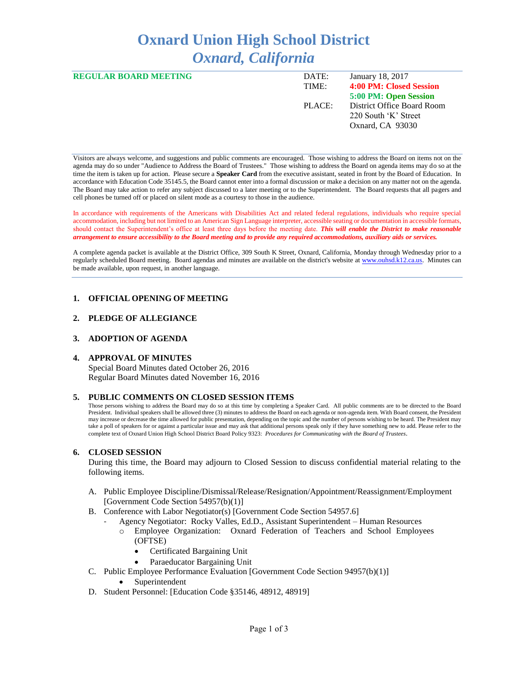# **Oxnard Union High School District** *Oxnard, California*

| <b>REGULAR BOARD MEETING</b> | DATE:<br>TIME: | January 18, 2017<br><b>4:00 PM: Closed Session</b>                     |
|------------------------------|----------------|------------------------------------------------------------------------|
|                              |                | 5:00 PM: Open Session                                                  |
|                              | PLACE:         | District Office Board Room<br>220 South 'K' Street<br>Oxnard, CA 93030 |

Visitors are always welcome, and suggestions and public comments are encouraged. Those wishing to address the Board on items not on the agenda may do so under "Audience to Address the Board of Trustees." Those wishing to address the Board on agenda items may do so at the time the item is taken up for action. Please secure a **Speaker Card** from the executive assistant, seated in front by the Board of Education. In accordance with Education Code 35145.5, the Board cannot enter into a formal discussion or make a decision on any matter not on the agenda. The Board may take action to refer any subject discussed to a later meeting or to the Superintendent. The Board requests that all pagers and cell phones be turned off or placed on silent mode as a courtesy to those in the audience.

In accordance with requirements of the Americans with Disabilities Act and related federal regulations, individuals who require special accommodation, including but not limited to an American Sign Language interpreter, accessible seating or documentation in accessible formats, should contact the Superintendent's office at least three days before the meeting date. *This will enable the District to make reasonable arrangement to ensure accessibility to the Board meeting and to provide any required accommodations, auxiliary aids or services.* 

A complete agenda packet is available at the District Office, 309 South K Street, Oxnard, California, Monday through Wednesday prior to a regularly scheduled Board meeting. Board agendas and minutes are available on the district's website a[t www.ouhsd.k12.ca.us.](http://www.ouhsd.k12.ca.us/)Minutes can be made available, upon request, in another language.

## **1. OFFICIAL OPENING OF MEETING**

## **2. PLEDGE OF ALLEGIANCE**

#### **3. ADOPTION OF AGENDA**

#### **4. APPROVAL OF MINUTES**

Special Board Minutes dated October 26, 2016 Regular Board Minutes dated November 16, 2016

#### **5. PUBLIC COMMENTS ON CLOSED SESSION ITEMS**

Those persons wishing to address the Board may do so at this time by completing a Speaker Card. All public comments are to be directed to the Board President. Individual speakers shall be allowed three (3) minutes to address the Board on each agenda or non-agenda item. With Board consent, the President may increase or decrease the time allowed for public presentation, depending on the topic and the number of persons wishing to be heard. The President may take a poll of speakers for or against a particular issue and may ask that additional persons speak only if they have something new to add. Please refer to the complete text of Oxnard Union High School District Board Policy 9323: *Procedures for Communicating with the Board of Trustees*.

#### **6. CLOSED SESSION**

During this time, the Board may adjourn to Closed Session to discuss confidential material relating to the following items.

- A. Public Employee Discipline/Dismissal/Release/Resignation/Appointment/Reassignment/Employment [Government Code Section 54957(b)(1)]
- B. Conference with Labor Negotiator(s) [Government Code Section 54957.6]
	- Agency Negotiator: Rocky Valles, Ed.D., Assistant Superintendent Human Resources o Employee Organization: Oxnard Federation of Teachers and School Employees
		- (OFTSE) Certificated Bargaining Unit
		-
		- Paraeducator Bargaining Unit
- C. Public Employee Performance Evaluation [Government Code Section 94957(b)(1)]
	- Superintendent
- D. Student Personnel: [Education Code §35146, 48912, 48919]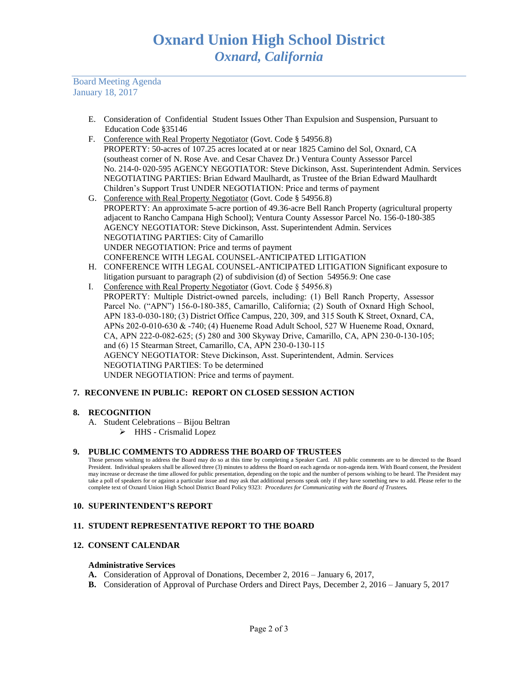Board Meeting Agenda January 18, 2017

- E. Consideration of Confidential Student Issues Other Than Expulsion and Suspension, Pursuant to Education Code §35146
- F. Conference with Real Property Negotiator (Govt. Code § 54956.8) PROPERTY: 50-acres of 107.25 acres located at or near 1825 Camino del Sol, Oxnard, CA (southeast corner of N. Rose Ave. and Cesar Chavez Dr.) Ventura County Assessor Parcel No. 214-0- 020-595 AGENCY NEGOTIATOR: Steve Dickinson, Asst. Superintendent Admin. Services NEGOTIATING PARTIES: Brian Edward Maulhardt, as Trustee of the Brian Edward Maulhardt Children's Support Trust UNDER NEGOTIATION: Price and terms of payment
- G. Conference with Real Property Negotiator (Govt. Code § 54956.8) PROPERTY: An approximate 5-acre portion of 49.36-acre Bell Ranch Property (agricultural property adjacent to Rancho Campana High School); Ventura County Assessor Parcel No. 156-0-180-385 AGENCY NEGOTIATOR: Steve Dickinson, Asst. Superintendent Admin. Services NEGOTIATING PARTIES: City of Camarillo UNDER NEGOTIATION: Price and terms of payment CONFERENCE WITH LEGAL COUNSEL-ANTICIPATED LITIGATION
- H. CONFERENCE WITH LEGAL COUNSEL-ANTICIPATED LITIGATION Significant exposure to litigation pursuant to paragraph (2) of subdivision (d) of Section 54956.9: One case
- I. Conference with Real Property Negotiator (Govt. Code § 54956.8) PROPERTY: Multiple District-owned parcels, including: (1) Bell Ranch Property, Assessor Parcel No. ("APN") 156-0-180-385, Camarillo, California; (2) South of Oxnard High School, APN 183-0-030-180; (3) District Office Campus, 220, 309, and 315 South K Street, Oxnard, CA, APNs 202-0-010-630 & -740; (4) Hueneme Road Adult School, 527 W Hueneme Road, Oxnard, CA, APN 222-0-082-625; (5) 280 and 300 Skyway Drive, Camarillo, CA, APN 230-0-130-105; and (6) 15 Stearman Street, Camarillo, CA, APN 230-0-130-115 AGENCY NEGOTIATOR: Steve Dickinson, Asst. Superintendent, Admin. Services NEGOTIATING PARTIES: To be determined UNDER NEGOTIATION: Price and terms of payment.

# **7. RECONVENE IN PUBLIC: REPORT ON CLOSED SESSION ACTION**

## **8. RECOGNITION**

A. Student Celebrations – Bijou Beltran HHS - Crismalid Lopez

## **9. PUBLIC COMMENTS TO ADDRESS THE BOARD OF TRUSTEES**

Those persons wishing to address the Board may do so at this time by completing a Speaker Card. All public comments are to be directed to the Board President. Individual speakers shall be allowed three (3) minutes to address the Board on each agenda or non-agenda item. With Board consent, the President may increase or decrease the time allowed for public presentation, depending on the topic and the number of persons wishing to be heard. The President may take a poll of speakers for or against a particular issue and may ask that additional persons speak only if they have something new to add. Please refer to the complete text of Oxnard Union High School District Board Policy 9323: *Procedures for Communicating with the Board of Trustees.*

## **10. SUPERINTENDENT'S REPORT**

## **11. STUDENT REPRESENTATIVE REPORT TO THE BOARD**

# **12. CONSENT CALENDAR**

## **Administrative Services**

- **A.** Consideration of Approval of Donations, December 2, 2016 January 6, 2017,
- **B.** Consideration of Approval of Purchase Orders and Direct Pays, December 2, 2016 January 5, 2017